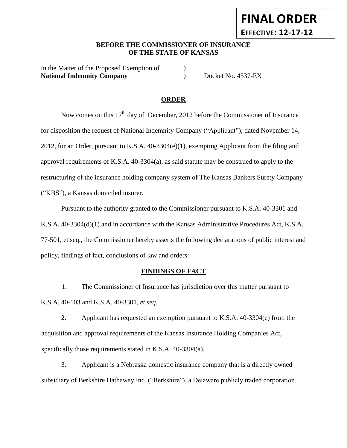# **BEFORE THE COMMISSIONER OF INSURANCE OF THE STATE OF KANSAS**

In the Matter of the Proposed Exemption of  $\qquad\qquad$  ) **National Indemnity Company** (and  $\blacksquare$ ) Docket No. 4537-EX

**FINAL ORDER**

**EFFECTIVE: 12-17-12**

## **ORDER**

Now comes on this  $17<sup>th</sup>$  day of December, 2012 before the Commissioner of Insurance for disposition the request of National Indemnity Company ("Applicant"), dated November 14, 2012, for an Order, pursuant to K.S.A. 40-3304(e)(1), exempting Applicant from the filing and approval requirements of K.S.A. 40-3304(a), as said statute may be construed to apply to the restructuring of the insurance holding company system of The Kansas Bankers Surety Company ("KBS"), a Kansas domiciled insurer.

Pursuant to the authority granted to the Commissioner pursuant to K.S.A. 40-3301 and K.S.A. 40-3304(d)(1) and in accordance with the Kansas Administrative Procedures Act, K.S.A. 77-501, et seq., the Commissioner hereby asserts the following declarations of public interest and policy, findings of fact, conclusions of law and orders:

#### **FINDINGS OF FACT**

1. The Commissioner of Insurance has jurisdiction over this matter pursuant to K.S.A. 40-103 and K.S.A. 40-3301, *et seq*.

2. Applicant has requested an exemption pursuant to K.S.A. 40-3304(e) from the acquisition and approval requirements of the Kansas Insurance Holding Companies Act, specifically those requirements stated in K.S.A. 40-3304(a).

3. Applicant is a Nebraska domestic insurance company that is a directly owned subsidiary of Berkshire Hathaway Inc. ("Berkshire"), a Delaware publicly traded corporation.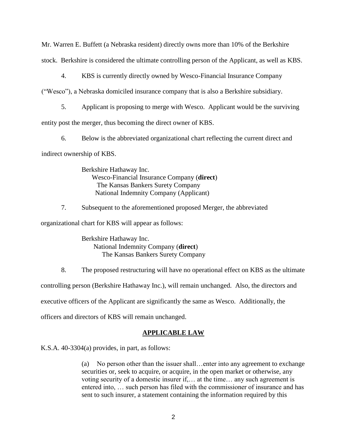Mr. Warren E. Buffett (a Nebraska resident) directly owns more than 10% of the Berkshire stock. Berkshire is considered the ultimate controlling person of the Applicant, as well as KBS.

4. KBS is currently directly owned by Wesco-Financial Insurance Company

("Wesco"), a Nebraska domiciled insurance company that is also a Berkshire subsidiary.

5. Applicant is proposing to merge with Wesco. Applicant would be the surviving entity post the merger, thus becoming the direct owner of KBS.

6. Below is the abbreviated organizational chart reflecting the current direct and indirect ownership of KBS.

> Berkshire Hathaway Inc. Wesco-Financial Insurance Company (**direct**) The Kansas Bankers Surety Company National Indemnity Company (Applicant)

7. Subsequent to the aforementioned proposed Merger, the abbreviated

organizational chart for KBS will appear as follows:

Berkshire Hathaway Inc. National Indemnity Company (**direct**) The Kansas Bankers Surety Company

8. The proposed restructuring will have no operational effect on KBS as the ultimate

controlling person (Berkshire Hathaway Inc.), will remain unchanged. Also, the directors and

executive officers of the Applicant are significantly the same as Wesco. Additionally, the

officers and directors of KBS will remain unchanged.

#### **APPLICABLE LAW**

K.S.A. 40-3304(a) provides, in part, as follows:

(a) No person other than the issuer shall…enter into any agreement to exchange securities or, seek to acquire, or acquire, in the open market or otherwise, any voting security of a domestic insurer if,… at the time… any such agreement is entered into, … such person has filed with the commissioner of insurance and has sent to such insurer, a statement containing the information required by this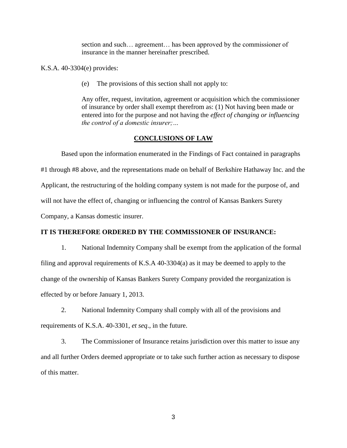section and such… agreement… has been approved by the commissioner of insurance in the manner hereinafter prescribed.

K.S.A. 40-3304(e) provides:

(e) The provisions of this section shall not apply to:

Any offer, request, invitation, agreement or acquisition which the commissioner of insurance by order shall exempt therefrom as: (1) Not having been made or entered into for the purpose and not having the *effect of changing or influencing the control of a domestic insurer;…*

## **CONCLUSIONS OF LAW**

Based upon the information enumerated in the Findings of Fact contained in paragraphs #1 through #8 above, and the representations made on behalf of Berkshire Hathaway Inc. and the Applicant, the restructuring of the holding company system is not made for the purpose of, and will not have the effect of, changing or influencing the control of Kansas Bankers Surety Company, a Kansas domestic insurer.

## **IT IS THEREFORE ORDERED BY THE COMMISSIONER OF INSURANCE:**

1. National Indemnity Company shall be exempt from the application of the formal filing and approval requirements of K.S.A 40-3304(a) as it may be deemed to apply to the change of the ownership of Kansas Bankers Surety Company provided the reorganization is effected by or before January 1, 2013.

2. National Indemnity Company shall comply with all of the provisions and requirements of K.S.A. 40-3301, *et seq*., in the future.

3. The Commissioner of Insurance retains jurisdiction over this matter to issue any and all further Orders deemed appropriate or to take such further action as necessary to dispose of this matter.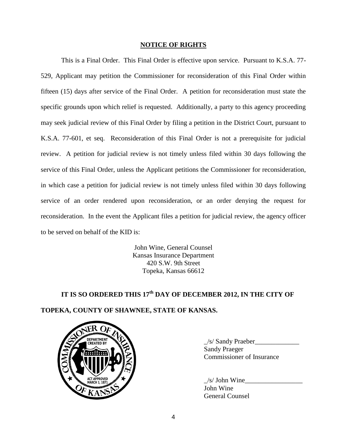### **NOTICE OF RIGHTS**

This is a Final Order. This Final Order is effective upon service. Pursuant to K.S.A. 77- 529, Applicant may petition the Commissioner for reconsideration of this Final Order within fifteen (15) days after service of the Final Order. A petition for reconsideration must state the specific grounds upon which relief is requested. Additionally, a party to this agency proceeding may seek judicial review of this Final Order by filing a petition in the District Court, pursuant to K.S.A. 77-601, et seq. Reconsideration of this Final Order is not a prerequisite for judicial review. A petition for judicial review is not timely unless filed within 30 days following the service of this Final Order, unless the Applicant petitions the Commissioner for reconsideration, in which case a petition for judicial review is not timely unless filed within 30 days following service of an order rendered upon reconsideration, or an order denying the request for reconsideration. In the event the Applicant files a petition for judicial review, the agency officer to be served on behalf of the KID is:

> John Wine, General Counsel Kansas Insurance Department 420 S.W. 9th Street Topeka, Kansas 66612

# **IT IS SO ORDERED THIS 17th DAY OF DECEMBER 2012, IN THE CITY OF TOPEKA, COUNTY OF SHAWNEE, STATE OF KANSAS.**



 $\angle$ s/ Sandy Praeber Sandy Praeger Commissioner of Insurance

 $/s/$  John Wine John Wine General Counsel